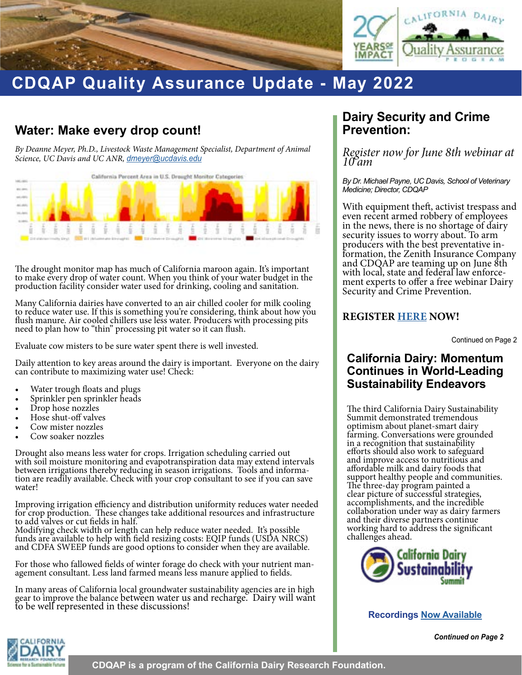



# **CDQAP Quality Assurance Update - May 2022**

# **Water: Make every drop count!**

*By Deanne Meyer, Ph.D., Livestock Waste Management Specialist, Department of Animal Science, UC Davis and UC ANR, dmeyer@ucdavis.edu* 



The drought monitor map has much of California maroon again. It's important to make every drop of water count. When you think of your water budget in the production facility consider water used for drinking, cooling and sanitation.

Many California dairies have converted to an air chilled cooler for milk cooling to reduce water use. If this is something you're considering, think about how you flush manure. Air cooled chillers use less water. Producers with processing pits need to plan how to "thin" processing pit water so it can flush.

Evaluate cow misters to be sure water spent there is well invested.

Daily attention to key areas around the dairy is important. Everyone on the dairy can contribute to maximizing water use! Check:

- 
- Water trough floats and plugs Sprinkler pen sprinkler heads Drop hose nozzles Hose shut-off valves
- 
- 
- Cow mister nozzles
- Cow soaker nozzles

Drought also means less water for crops. Irrigation scheduling carried out with soil moisture monitoring and evapotranspiration data may extend intervals between irrigations thereby reducing in season irrigations. Tools and informa- tion are readily available. Check with your crop consultant to see if you can save water!

Improving irrigation efficiency and distribution uniformity reduces water needed for crop production. These changes take additional resources and infrastructure to add valves or cut fields in half.

Modifying check width or length can help reduce water needed. It's possible funds are available to help with field resizing costs: EQIP funds (USDA NRCS) and CDFA SWEEP funds are good options to consider when they are available.

For those who fallowed fields of winter forage do check with your nutrient man- agement consultant. Less land farmed means less manure applied to fields.

In many areas of California local groundwater sustainability agencies are in high gear to improve the balance between water us and recharge. Dairy will want<br>to be well represented in these discussions!

## **Dairy Security and Crime Prevention:**

*Register now for June 8th webinar at 10 am*

*By Dr. Michael Payne, UC Davis, School of Veterinary Medicine; Director, CDQAP*

With equipment theft, activist trespass and even recent armed robbery of employees in the news, there is no shortage of dairy security issues to worry about. To arm formation, the Zenith Insurance Company and CDQAP are teaming up on June 8th ment experts to offer a free webinar Dairy Security and Crime Prevention.

#### **REGISTER [HERE](https://cdqap.org/wp-content/uploads/2022/06/2022-Zenith-Dairy-Industry-Briefings.pdf) NOW!**

Continued on Page 2

### **California Dairy: Momentum Continues in World-Leading Sustainability Endeavors**

The third California Dairy Sustainability Summit demonstrated tremendous optimism about planet-smart dairy farming. Conversations were grounded in a recognition that sustainability efforts should also work to safeguard and improve access to nutritious and affordable milk and dairy foods that support healthy people and communities. The three-day program painted a clear picture of successful strategies, accomplishments, and the incredible collaboration under way as dairy farmers and their diverse partners continue working hard to address the significant challenges ahead.



**Recordings [Now Available](http://www.cadairysummit.com)**